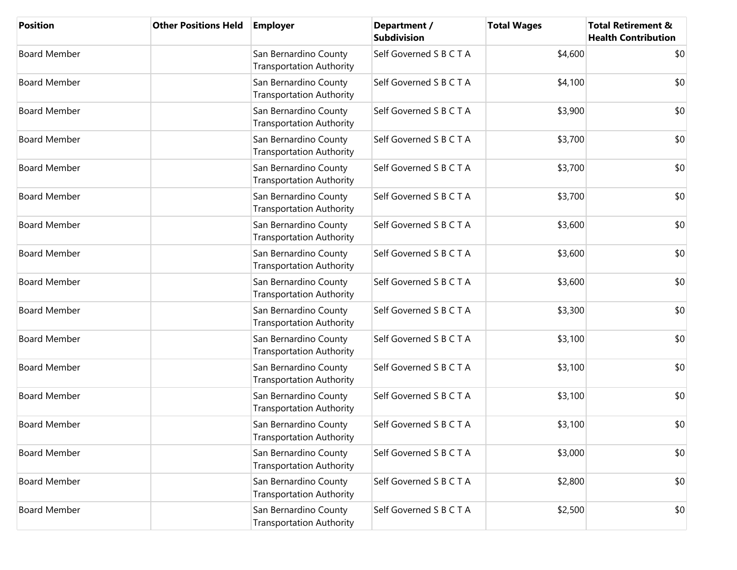| <b>Position</b>     | <b>Other Positions Held</b> | <b>Employer</b>                                          | Department /<br><b>Subdivision</b> | <b>Total Wages</b> | <b>Total Retirement &amp;</b><br><b>Health Contribution</b> |
|---------------------|-----------------------------|----------------------------------------------------------|------------------------------------|--------------------|-------------------------------------------------------------|
| <b>Board Member</b> |                             | San Bernardino County<br><b>Transportation Authority</b> | Self Governed S B C T A            | \$4,600            | \$0                                                         |
| <b>Board Member</b> |                             | San Bernardino County<br><b>Transportation Authority</b> | Self Governed S B C T A            | \$4,100            | \$0                                                         |
| <b>Board Member</b> |                             | San Bernardino County<br><b>Transportation Authority</b> | Self Governed S B C T A            | \$3,900            | \$0                                                         |
| <b>Board Member</b> |                             | San Bernardino County<br><b>Transportation Authority</b> | Self Governed S B C T A            | \$3,700            | \$0                                                         |
| <b>Board Member</b> |                             | San Bernardino County<br><b>Transportation Authority</b> | Self Governed S B C T A            | \$3,700            | \$0                                                         |
| <b>Board Member</b> |                             | San Bernardino County<br><b>Transportation Authority</b> | Self Governed S B C T A            | \$3,700            | \$0                                                         |
| <b>Board Member</b> |                             | San Bernardino County<br><b>Transportation Authority</b> | Self Governed S B C T A            | \$3,600            | \$0                                                         |
| <b>Board Member</b> |                             | San Bernardino County<br><b>Transportation Authority</b> | Self Governed S B C T A            | \$3,600            | \$0                                                         |
| <b>Board Member</b> |                             | San Bernardino County<br><b>Transportation Authority</b> | Self Governed S B C T A            | \$3,600            | \$0                                                         |
| <b>Board Member</b> |                             | San Bernardino County<br><b>Transportation Authority</b> | Self Governed S B C T A            | \$3,300            | \$0                                                         |
| <b>Board Member</b> |                             | San Bernardino County<br><b>Transportation Authority</b> | Self Governed S B C T A            | \$3,100            | \$0                                                         |
| <b>Board Member</b> |                             | San Bernardino County<br><b>Transportation Authority</b> | Self Governed S B C T A            | \$3,100            | \$0                                                         |
| <b>Board Member</b> |                             | San Bernardino County<br><b>Transportation Authority</b> | Self Governed S B C T A            | \$3,100            | \$0                                                         |
| <b>Board Member</b> |                             | San Bernardino County<br><b>Transportation Authority</b> | Self Governed S B C T A            | \$3,100            | \$0                                                         |
| <b>Board Member</b> |                             | San Bernardino County<br><b>Transportation Authority</b> | Self Governed S B C T A            | \$3,000            | \$0                                                         |
| <b>Board Member</b> |                             | San Bernardino County<br><b>Transportation Authority</b> | Self Governed S B C T A            | \$2,800            | \$0                                                         |
| <b>Board Member</b> |                             | San Bernardino County<br><b>Transportation Authority</b> | Self Governed S B C T A            | \$2,500            | \$0                                                         |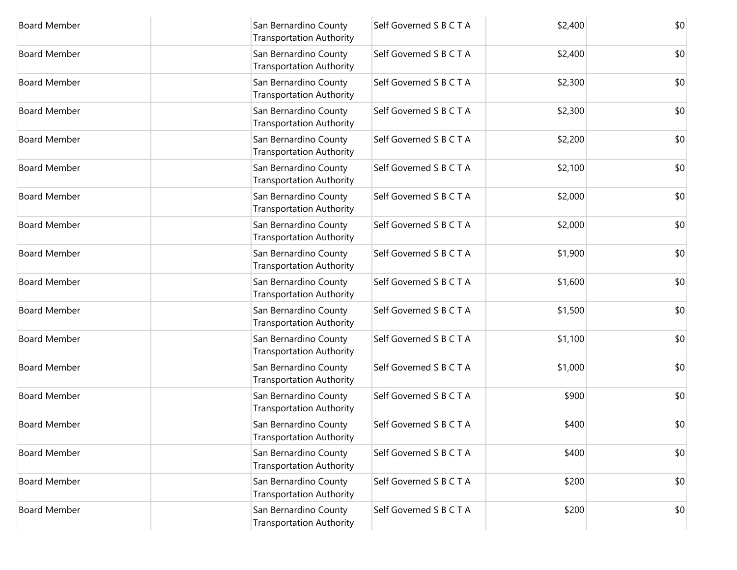| <b>Board Member</b> | San Bernardino County<br><b>Transportation Authority</b> | Self Governed S B C T A | \$2,400 | \$0 |
|---------------------|----------------------------------------------------------|-------------------------|---------|-----|
| <b>Board Member</b> | San Bernardino County<br><b>Transportation Authority</b> | Self Governed S B C T A | \$2,400 | \$0 |
| <b>Board Member</b> | San Bernardino County<br><b>Transportation Authority</b> | Self Governed S B C T A | \$2,300 | \$0 |
| <b>Board Member</b> | San Bernardino County<br><b>Transportation Authority</b> | Self Governed S B C T A | \$2,300 | \$0 |
| <b>Board Member</b> | San Bernardino County<br><b>Transportation Authority</b> | Self Governed S B C T A | \$2,200 | \$0 |
| <b>Board Member</b> | San Bernardino County<br><b>Transportation Authority</b> | Self Governed S B C T A | \$2,100 | \$0 |
| <b>Board Member</b> | San Bernardino County<br><b>Transportation Authority</b> | Self Governed S B C T A | \$2,000 | \$0 |
| <b>Board Member</b> | San Bernardino County<br><b>Transportation Authority</b> | Self Governed S B C T A | \$2,000 | \$0 |
| <b>Board Member</b> | San Bernardino County<br><b>Transportation Authority</b> | Self Governed S B C T A | \$1,900 | \$0 |
| <b>Board Member</b> | San Bernardino County<br><b>Transportation Authority</b> | Self Governed S B C T A | \$1,600 | \$0 |
| <b>Board Member</b> | San Bernardino County<br><b>Transportation Authority</b> | Self Governed S B C T A | \$1,500 | \$0 |
| <b>Board Member</b> | San Bernardino County<br><b>Transportation Authority</b> | Self Governed S B C T A | \$1,100 | \$0 |
| <b>Board Member</b> | San Bernardino County<br><b>Transportation Authority</b> | Self Governed S B C T A | \$1,000 | \$0 |
| <b>Board Member</b> | San Bernardino County<br><b>Transportation Authority</b> | Self Governed S B C T A | \$900   | \$0 |
| <b>Board Member</b> | San Bernardino County<br><b>Transportation Authority</b> | Self Governed S B C T A | \$400   | \$0 |
| <b>Board Member</b> | San Bernardino County<br><b>Transportation Authority</b> | Self Governed S B C T A | \$400   | \$0 |
| <b>Board Member</b> | San Bernardino County<br><b>Transportation Authority</b> | Self Governed S B C T A | \$200   | \$0 |
| <b>Board Member</b> | San Bernardino County<br><b>Transportation Authority</b> | Self Governed S B C T A | \$200   | \$0 |